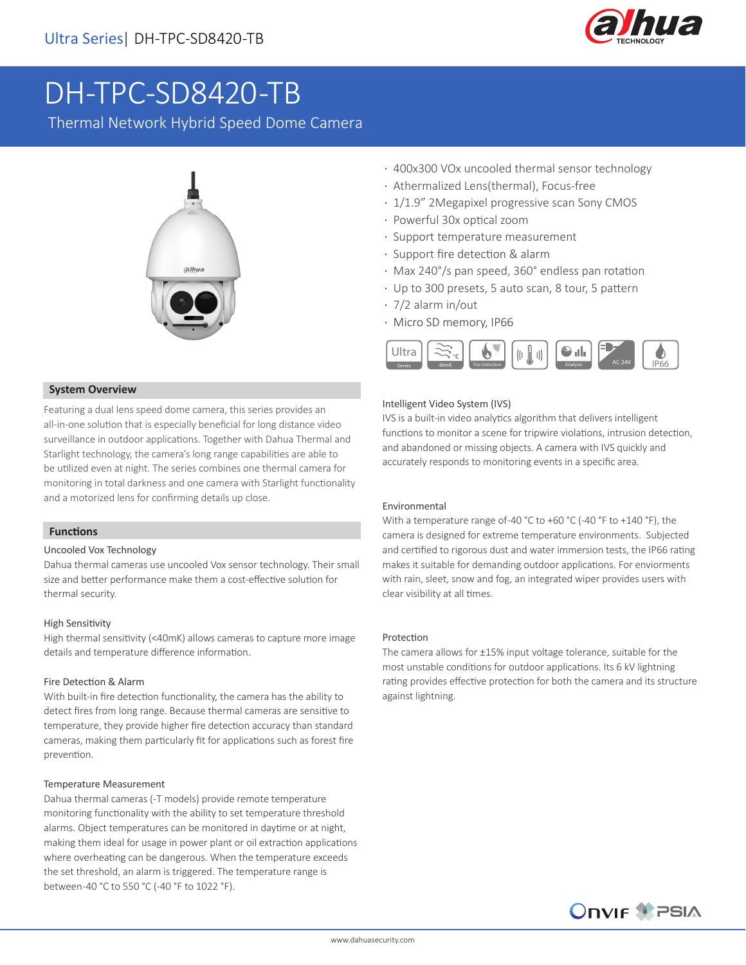

# DH-TPC-SD8420-TB

Thermal Network Hybrid Speed Dome Camera



## · 400x300 VOx uncooled thermal sensor technology

- · Athermalized Lens(thermal), Focus-free
- · 1/1.9" 2Megapixel progressive scan Sony CMOS
- · Powerful 30x optical zoom
- · Support temperature measurement
- · Support fire detection & alarm
- · Max 240°/s pan speed, 360° endless pan rotation
- · Up to 300 presets, 5 auto scan, 8 tour, 5 pattern
- · 7/2 alarm in/out
- · Micro SD memory, IP66



## Intelligent Video System (IVS)

IVS is a built-in video analytics algorithm that delivers intelligent functions to monitor a scene for tripwire violations, intrusion detection, and abandoned or missing objects. A camera with IVS quickly and accurately responds to monitoring events in a specific area.

## Environmental

With a temperature range of-40 °C to +60 °C (-40 °F to +140 °F), the camera is designed for extreme temperature environments. Subjected and certified to rigorous dust and water immersion tests, the IP66 rating makes it suitable for demanding outdoor applications. For enviorments with rain, sleet, snow and fog, an integrated wiper provides users with clear visibility at all times.

#### Protection

The camera allows for ±15% input voltage tolerance, suitable for the most unstable conditions for outdoor applications. Its 6 kV lightning rating provides effective protection for both the camera and its structure against lightning.



## **System Overview**

Featuring a dual lens speed dome camera, this series provides an all-in-one solution that is especially beneficial for long distance video surveillance in outdoor applications. Together with Dahua Thermal and Starlight technology, the camera's long range capabilities are able to be utilized even at night. The series combines one thermal camera for monitoring in total darkness and one camera with Starlight functionality and a motorized lens for confirming details up close.

#### **Functions**

## Uncooled Vox Technology

Dahua thermal cameras use uncooled Vox sensor technology. Their small size and better performance make them a cost-effective solution for thermal security.

#### High Sensitivity

High thermal sensitivity (<40mK) allows cameras to capture more image details and temperature difference information.

#### Fire Detection & Alarm

With built-in fire detection functionality, the camera has the ability to detect fires from long range. Because thermal cameras are sensitive to temperature, they provide higher fire detection accuracy than standard cameras, making them particularly fit for applications such as forest fire prevention.

#### Temperature Measurement

Dahua thermal cameras (-T models) provide remote temperature monitoring functionality with the ability to set temperature threshold alarms. Object temperatures can be monitored in daytime or at night, making them ideal for usage in power plant or oil extraction applications where overheating can be dangerous. When the temperature exceeds the set threshold, an alarm is triggered. The temperature range is between -40 °C to 550 °C (-40 °F to 1022 °F).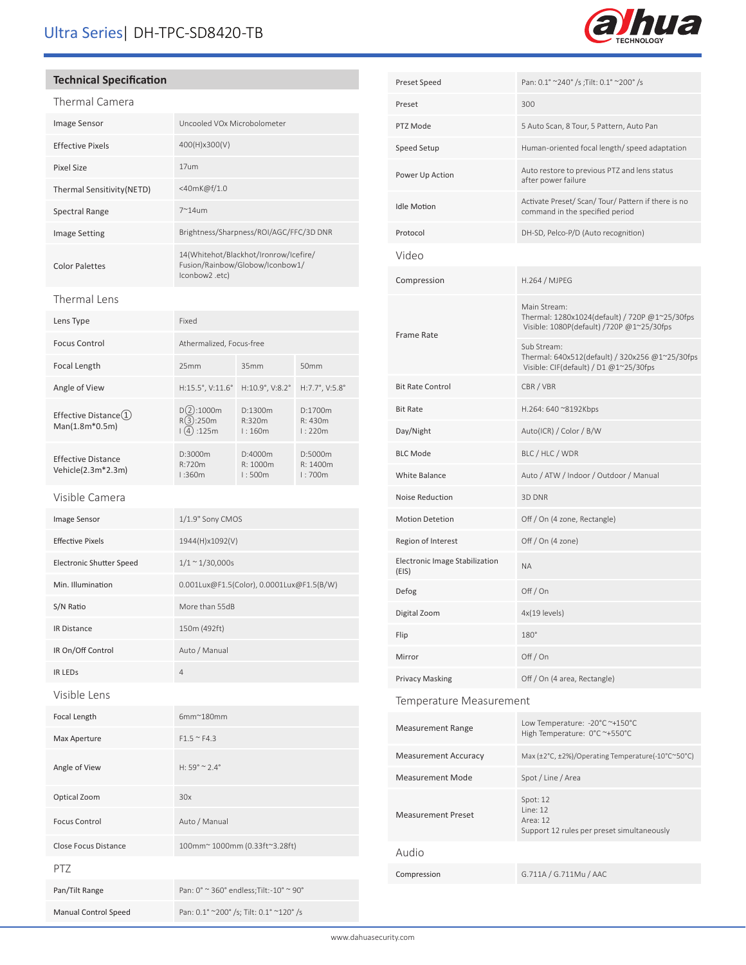# Ultra Series| DH-TPC-SD8420-TB

## **Technical Specification**

## Thermal Camera

| Image Sensor               | Uncooled VOx Microbolometer                                                               |
|----------------------------|-------------------------------------------------------------------------------------------|
| <b>Effective Pixels</b>    | 400(H)x300(V)                                                                             |
| Pixel Size                 | 17um                                                                                      |
| Thermal Sensitivity (NETD) | <40mK@f/1.0                                                                               |
| Spectral Range             | $7^{\sim}14$ um                                                                           |
| <b>Image Setting</b>       | Brightness/Sharpness/ROI/AGC/FFC/3D DNR                                                   |
| <b>Color Palettes</b>      | 14(Whitehot/Blackhot/Ironrow/Icefire/<br>Fusion/Rainbow/Globow/Iconbow1/<br>lconbow2.etc) |
|                            |                                                                                           |

## Thermal Lens

| Lens Type                                    | Fixed                                |                                 |                                |
|----------------------------------------------|--------------------------------------|---------------------------------|--------------------------------|
| Focus Control                                | Athermalized, Focus-free             |                                 |                                |
| Focal Length                                 | 25mm                                 | 35mm                            | 50 <sub>mm</sub>               |
| Angle of View                                | $H:15.5^{\circ}$ , V:11.6 $^{\circ}$ | $H:10.9^\circ$ , V:8.2 $^\circ$ | $H:7.7^{\circ}, V:5.8^{\circ}$ |
| Effective Distance $(1)$<br>$Man(1.8m*0.5m)$ | :1000m<br>(3):250m<br>:125m          | D:1300m<br>R:320m<br>1:160m     | D:1700m<br>R: 430m<br>1:220m   |
| Effective Distance<br>Vehicle(2.3m*2.3m)     | D:3000m<br>R:720m<br>1:360m          | D:4000m<br>R:1000m<br>1:500m    | D:5000m<br>R: 1400m<br>1:700m  |

## Visible Camera

֠

| Image Sensor                | 1/1.9" Sony CMOS                          |
|-----------------------------|-------------------------------------------|
| <b>Effective Pixels</b>     | 1944(H)x1092(V)                           |
| Electronic Shutter Speed    | $1/1 \sim 1/30,000s$                      |
| Min. Illumination           | 0.001Lux@F1.5(Color), 0.0001Lux@F1.5(B/W) |
| S/N Ratio                   | More than 55dB                            |
| <b>IR Distance</b>          | 150m (492ft)                              |
| IR On/Off Control           | Auto / Manual                             |
| <b>IR LEDS</b>              | $\overline{4}$                            |
| Visible Lens                |                                           |
| Focal Length                | $6mm^{\sim}180mm$                         |
| Max Aperture                | $F1.5 \approx F4.3$                       |
| Angle of View               | $H: 59^{\circ} \approx 2.4^{\circ}$       |
| Optical Zoom                | 30x                                       |
| <b>Focus Control</b>        | Auto / Manual                             |
| Close Focus Distance        | 100mm~1000mm (0.33ft~3.28ft)              |
| PT7                         |                                           |
| Pan/Tilt Range              | Pan: 0° ~ 360° endless; Tilt: - 10° ~ 90° |
| <b>Manual Control Speed</b> | Pan: 0.1° ~200° /s; Tilt: 0.1° ~120° /s   |

| Preset Speed                            | Pan: 0.1° ~240° /s ;Tilt: 0.1° ~200° /s                                                                                    |  |
|-----------------------------------------|----------------------------------------------------------------------------------------------------------------------------|--|
| Preset                                  | 300                                                                                                                        |  |
| PTZ Mode                                | 5 Auto Scan, 8 Tour, 5 Pattern, Auto Pan                                                                                   |  |
| Speed Setup                             | Human-oriented focal length/speed adaptation                                                                               |  |
| Power Up Action                         | Auto restore to previous PTZ and lens status<br>after power failure                                                        |  |
| <b>Idle Motion</b>                      | Activate Preset/ Scan/ Tour/ Pattern if there is no<br>command in the specified period                                     |  |
| Protocol                                | DH-SD, Pelco-P/D (Auto recognition)                                                                                        |  |
| Video                                   |                                                                                                                            |  |
| Compression                             | H.264 / MJPEG                                                                                                              |  |
| Frame Rate                              | Main Stream:<br>Thermal: 1280x1024(default) / 720P @1~25/30fps<br>Visible: 1080P(default) /720P @1~25/30fps<br>Sub Stream: |  |
|                                         | Thermal: 640x512(default) / 320x256 @1~25/30fps<br>Visible: CIF(default) / D1 @1~25/30fps                                  |  |
| <b>Bit Rate Control</b>                 | CBR / VBR                                                                                                                  |  |
| <b>Bit Rate</b>                         | H.264: 640 ~8192Kbps                                                                                                       |  |
| Day/Night                               | Auto(ICR) / Color / B/W                                                                                                    |  |
| <b>BLC Mode</b>                         | BLC / HLC / WDR                                                                                                            |  |
| White Balance                           | Auto / ATW / Indoor / Outdoor / Manual                                                                                     |  |
| Noise Reduction                         | 3D DNR                                                                                                                     |  |
| <b>Motion Detetion</b>                  | Off / On (4 zone, Rectangle)                                                                                               |  |
| Region of Interest                      | Off / On (4 zone)                                                                                                          |  |
| Electronic Image Stabilization<br>(EIS) | <b>NA</b>                                                                                                                  |  |
| Defog                                   | Off / On                                                                                                                   |  |
| Digital Zoom                            | 4x(19 levels)                                                                                                              |  |
| Flip                                    | 180°                                                                                                                       |  |
| Mirror                                  | Off / On                                                                                                                   |  |
| <b>Privacy Masking</b>                  | Off / On (4 area, Rectangle)                                                                                               |  |
| Temperature Measurement                 |                                                                                                                            |  |
| <b>Measurement Range</b>                | Low Temperature: -20°C ~+150°C<br>High Temperature: 0°C ~+550°C                                                            |  |
| <b>Measurement Accuracy</b>             | Max (±2°C, ±2%)/Operating Temperature(-10°C~50°C)                                                                          |  |
| <b>Measurement Mode</b>                 | Spot / Line / Area                                                                                                         |  |
| <b>Measurement Preset</b>               | Spot: 12<br>Line: 12<br>Area: 12<br>Support 12 rules per preset simultaneously                                             |  |
| Audio                                   |                                                                                                                            |  |
| Compression                             | G.711A / G.711Mu / AAC                                                                                                     |  |

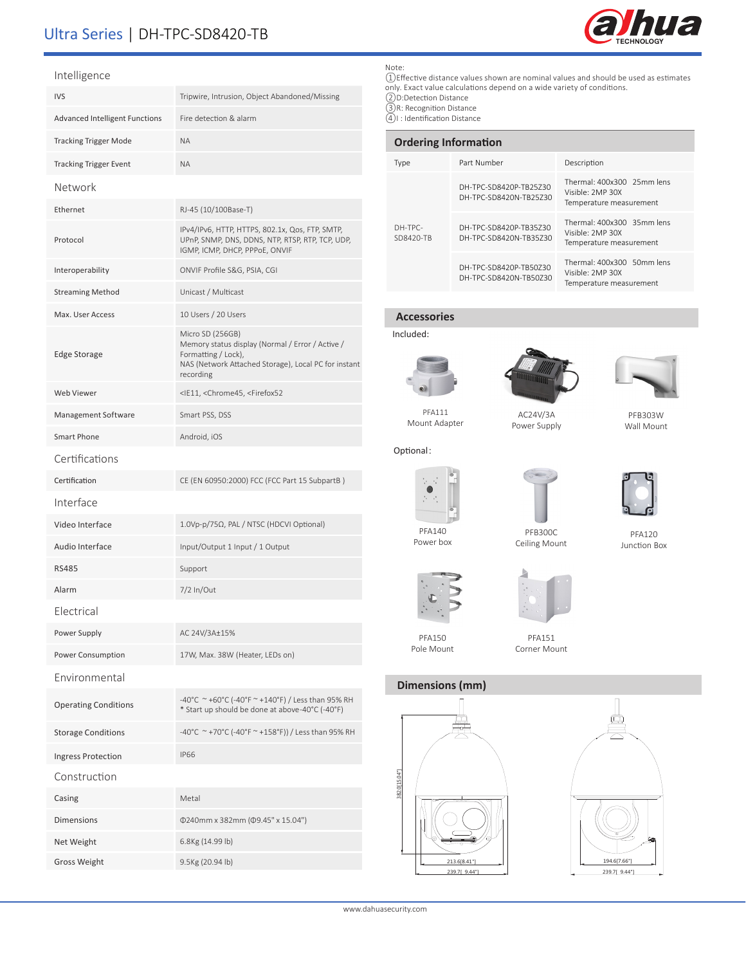# Ultra Series | DH-TPC-SD8420-TB



## Intelligence

| <b>ILLEIREILE</b>                     |                                                                                                                                                                  |
|---------------------------------------|------------------------------------------------------------------------------------------------------------------------------------------------------------------|
| <b>IVS</b>                            | Tripwire, Intrusion, Object Abandoned/Missing                                                                                                                    |
| <b>Advanced Intelligent Functions</b> | Fire detection & alarm                                                                                                                                           |
| <b>Tracking Trigger Mode</b>          | <b>NA</b>                                                                                                                                                        |
| <b>Tracking Trigger Event</b>         | <b>NA</b>                                                                                                                                                        |
| Network                               |                                                                                                                                                                  |
| Ethernet                              | RJ-45 (10/100Base-T)                                                                                                                                             |
| Protocol                              | IPv4/IPv6, HTTP, HTTPS, 802.1x, Qos, FTP, SMTP,<br>UPnP, SNMP, DNS, DDNS, NTP, RTSP, RTP, TCP, UDP,<br>IGMP, ICMP, DHCP, PPPoE, ONVIF                            |
| Interoperability                      | ONVIF Profile S&G, PSIA, CGI                                                                                                                                     |
| <b>Streaming Method</b>               | Unicast / Multicast                                                                                                                                              |
| Max. User Access                      | 10 Users / 20 Users                                                                                                                                              |
| <b>Edge Storage</b>                   | Micro SD (256GB)<br>Memory status display (Normal / Error / Active /<br>Formatting / Lock),<br>NAS (Network Attached Storage), Local PC for instant<br>recording |
| Web Viewer                            | <ie11, <chrome45,="" <firefox52<="" td=""></ie11,>                                                                                                               |
| Management Software                   | Smart PSS, DSS                                                                                                                                                   |
| Smart Phone                           | Android, iOS                                                                                                                                                     |
| Certifications                        |                                                                                                                                                                  |
| Certification                         | CE (EN 60950:2000) FCC (FCC Part 15 SubpartB)                                                                                                                    |
| Interface                             |                                                                                                                                                                  |
| Video Interface                       | 1.0Vp-p/75Ω, PAL / NTSC (HDCVI Optional)                                                                                                                         |
| Audio Interface                       | Input/Output 1 Input / 1 Output                                                                                                                                  |
| <b>RS485</b>                          | Support                                                                                                                                                          |
| Alarm                                 | 7/2 In/Out                                                                                                                                                       |
| Electrical                            |                                                                                                                                                                  |
| Power Supply                          | AC 24V/3A±15%                                                                                                                                                    |
| Power Consumption                     | 17W, Max. 38W (Heater, LEDs on)                                                                                                                                  |
| Environmental                         |                                                                                                                                                                  |
| <b>Operating Conditions</b>           | -40°C ~ +60°C (-40°F ~ +140°F) / Less than 95% RH<br>* Start up should be done at above-40°C (-40°F)                                                             |
| <b>Storage Conditions</b>             | -40°C ~+70°C (-40°F ~+158°F)) / Less than 95% RH                                                                                                                 |
| Ingress Protection                    | <b>IP66</b>                                                                                                                                                      |
| Construction                          |                                                                                                                                                                  |
| Casing                                | Metal                                                                                                                                                            |
| <b>Dimensions</b>                     | Φ240mm x 382mm (Φ9.45" x 15.04")                                                                                                                                 |
| Net Weight                            | 6.8Kg (14.99 lb)                                                                                                                                                 |
| <b>Gross Weight</b>                   | 9.5Kg (20.94 lb)                                                                                                                                                 |

## Note:

①Effective distance values shown are nominal values and should be used as estimates only. Exact value calculations depend on a wide variety of conditions. ②D:Detection Distance ③R: Recognition Distance

④I : Identification Distance

| <b>Ordering Information</b> |                                                  |                                                                           |  |
|-----------------------------|--------------------------------------------------|---------------------------------------------------------------------------|--|
| Type                        | Part Number                                      | Description                                                               |  |
| DH-TPC-<br>SD8420-TB        | DH-TPC-SD8420P-TB25Z30<br>DH-TPC-SD8420N-TB25730 | Thermal: 400x300 25mm lens<br>Visible: 2MP 30X<br>Temperature measurement |  |
|                             | DH-TPC-SD8420P-TB35730<br>DH-TPC-SD8420N-TB35730 | Thermal: 400x300 35mm lens<br>Visible: 2MP 30X<br>Temperature measurement |  |
|                             | DH-TPC-SD8420P-TB50Z30<br>DH-TPC-SD8420N-TB50730 | Thermal: 400x300 50mm lens<br>Visible: 2MP 30X<br>Temperature measurement |  |

## **Accessories**

Included:

Optional:







PFA111 Mount Adapter

AC24V/3A Power Supply

PFB303W Wall Mount



Power box

PFB300C



PFA120 Junction Box



PFA150 Pole Mount



Ceiling Mount

Corner Mount

## **Dimensions (mm)**





www.dahuasecurity.com